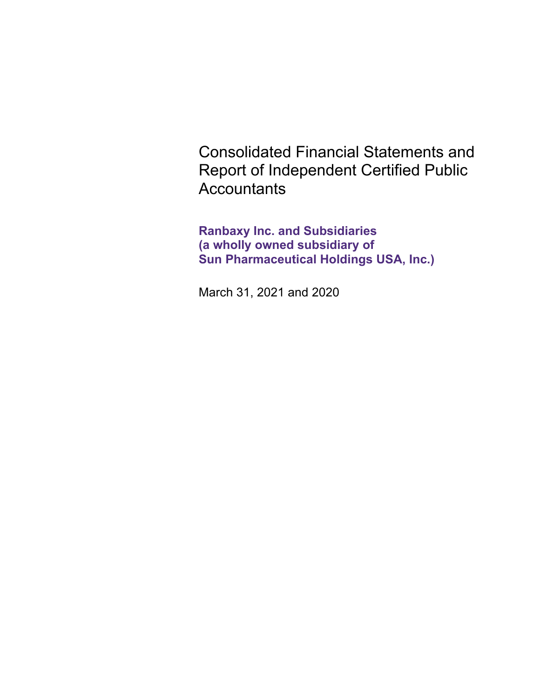Consolidated Financial Statements and Report of Independent Certified Public **Accountants** 

**Ranbaxy Inc. and Subsidiaries (a wholly owned subsidiary of Sun Pharmaceutical Holdings USA, Inc.)** 

March 31, 2021 and 2020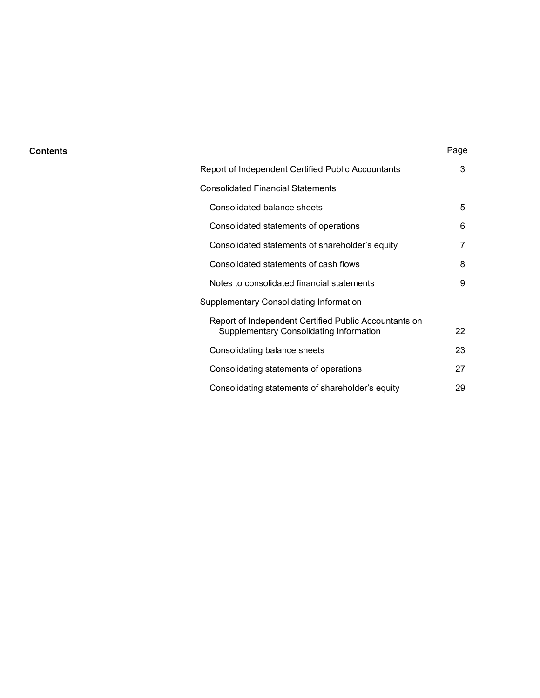#### **Contents** Page

| Report of Independent Certified Public Accountants                                                      | 3  |
|---------------------------------------------------------------------------------------------------------|----|
| <b>Consolidated Financial Statements</b>                                                                |    |
| Consolidated balance sheets                                                                             | 5  |
| Consolidated statements of operations                                                                   | 6  |
| Consolidated statements of shareholder's equity                                                         | 7  |
| Consolidated statements of cash flows                                                                   | 8  |
| Notes to consolidated financial statements                                                              | 9  |
| Supplementary Consolidating Information                                                                 |    |
| Report of Independent Certified Public Accountants on<br><b>Supplementary Consolidating Information</b> | 22 |
| Consolidating balance sheets                                                                            | 23 |
| Consolidating statements of operations                                                                  | 27 |
| Consolidating statements of shareholder's equity                                                        | 29 |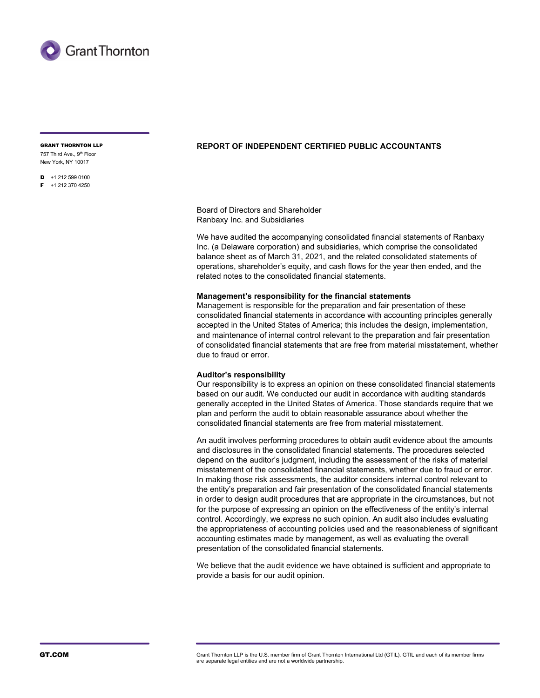

757 Third Ave., 9<sup>th</sup> Floor

New York, NY 10017

 $\overline{D}$  +1 212 599 0100  $F + 1$  212 370 4250

## GRANT THORNTON LLP **REPORT OF INDEPENDENT CERTIFIED PUBLIC ACCOUNTANTS**

Board of Directors and Shareholder Ranbaxy Inc. and Subsidiaries

We have audited the accompanying consolidated financial statements of Ranbaxy Inc. (a Delaware corporation) and subsidiaries, which comprise the consolidated balance sheet as of March 31, 2021, and the related consolidated statements of operations, shareholder's equity, and cash flows for the year then ended, and the related notes to the consolidated financial statements.

#### **Management's responsibility for the financial statements**

Management is responsible for the preparation and fair presentation of these consolidated financial statements in accordance with accounting principles generally accepted in the United States of America; this includes the design, implementation, and maintenance of internal control relevant to the preparation and fair presentation of consolidated financial statements that are free from material misstatement, whether due to fraud or error.

#### **Auditor's responsibility**

Our responsibility is to express an opinion on these consolidated financial statements based on our audit. We conducted our audit in accordance with auditing standards generally accepted in the United States of America. Those standards require that we plan and perform the audit to obtain reasonable assurance about whether the consolidated financial statements are free from material misstatement.

An audit involves performing procedures to obtain audit evidence about the amounts and disclosures in the consolidated financial statements. The procedures selected depend on the auditor's judgment, including the assessment of the risks of material misstatement of the consolidated financial statements, whether due to fraud or error. In making those risk assessments, the auditor considers internal control relevant to the entity's preparation and fair presentation of the consolidated financial statements in order to design audit procedures that are appropriate in the circumstances, but not for the purpose of expressing an opinion on the effectiveness of the entity's internal control. Accordingly, we express no such opinion. An audit also includes evaluating the appropriateness of accounting policies used and the reasonableness of significant accounting estimates made by management, as well as evaluating the overall presentation of the consolidated financial statements.

We believe that the audit evidence we have obtained is sufficient and appropriate to provide a basis for our audit opinion.

GT.COM GTACOM Grant Thornton LLP is the U.S. member firm of Grant Thornton International Ltd (GTIL). GTIL and each of its member firms are separate legal entities and are not a worldwide partnership.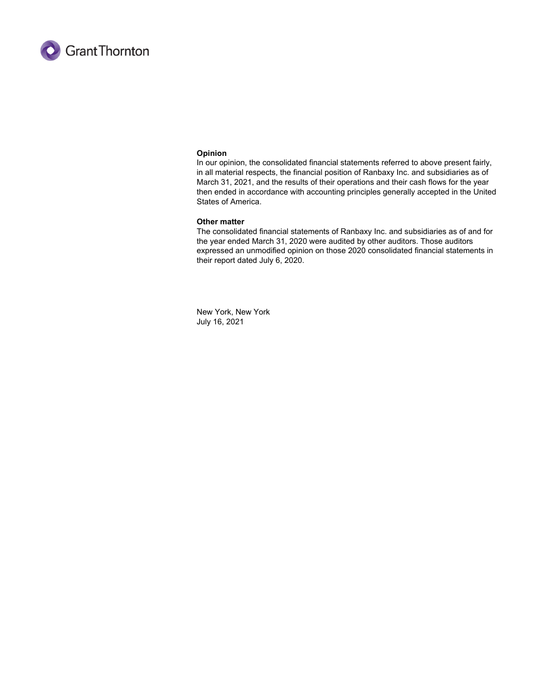

#### **Opinion**

In our opinion, the consolidated financial statements referred to above present fairly, in all material respects, the financial position of Ranbaxy Inc. and subsidiaries as of March 31, 2021, and the results of their operations and their cash flows for the year then ended in accordance with accounting principles generally accepted in the United States of America.

#### **Other matter**

The consolidated financial statements of Ranbaxy Inc. and subsidiaries as of and for the year ended March 31, 2020 were audited by other auditors. Those auditors expressed an unmodified opinion on those 2020 consolidated financial statements in their report dated July 6, 2020.

New York, New York July 16, 2021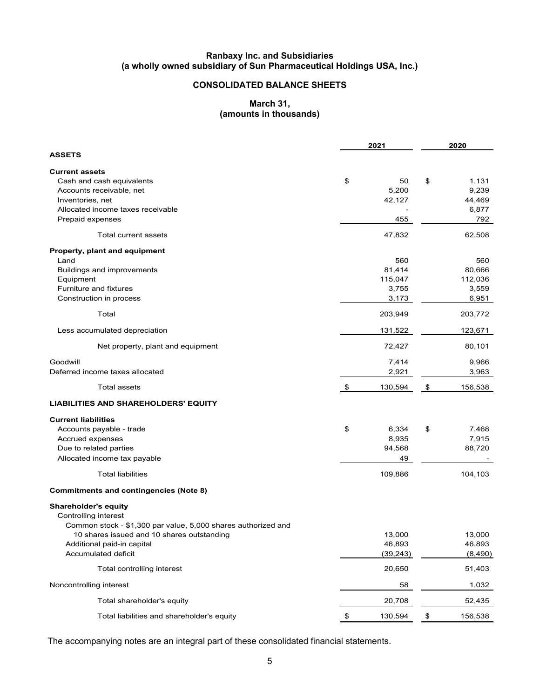# **CONSOLIDATED BALANCE SHEETS**

## **March 31, (amounts in thousands)**

| 2021                                                          |    |           | 2020 |         |  |
|---------------------------------------------------------------|----|-----------|------|---------|--|
| <b>ASSETS</b>                                                 |    |           |      |         |  |
| <b>Current assets</b>                                         |    |           |      |         |  |
| Cash and cash equivalents                                     | \$ | 50        | \$   | 1,131   |  |
| Accounts receivable, net                                      |    | 5,200     |      | 9,239   |  |
| Inventories, net                                              |    | 42,127    |      | 44,469  |  |
| Allocated income taxes receivable                             |    |           |      | 6,877   |  |
| Prepaid expenses                                              |    | 455       |      | 792     |  |
| Total current assets                                          |    | 47,832    |      | 62,508  |  |
| Property, plant and equipment                                 |    |           |      |         |  |
| Land                                                          |    | 560       |      | 560     |  |
| Buildings and improvements                                    |    | 81,414    |      | 80,666  |  |
| Equipment                                                     |    | 115,047   |      | 112,036 |  |
| Furniture and fixtures                                        |    | 3,755     |      | 3,559   |  |
| Construction in process                                       |    | 3,173     |      | 6,951   |  |
| Total                                                         |    | 203,949   |      | 203,772 |  |
| Less accumulated depreciation                                 |    | 131,522   |      | 123,671 |  |
| Net property, plant and equipment                             |    | 72,427    |      | 80,101  |  |
| Goodwill                                                      |    | 7,414     |      | 9,966   |  |
| Deferred income taxes allocated                               |    | 2,921     |      | 3,963   |  |
| Total assets                                                  | \$ | 130,594   | \$   | 156,538 |  |
| <b>LIABILITIES AND SHAREHOLDERS' EQUITY</b>                   |    |           |      |         |  |
| <b>Current liabilities</b>                                    |    |           |      |         |  |
| Accounts payable - trade                                      | \$ | 6,334     | \$   | 7,468   |  |
| Accrued expenses                                              |    | 8,935     |      | 7,915   |  |
| Due to related parties                                        |    | 94,568    |      | 88,720  |  |
| Allocated income tax payable                                  |    | 49        |      |         |  |
| <b>Total liabilities</b>                                      |    | 109,886   |      | 104,103 |  |
| <b>Commitments and contingencies (Note 8)</b>                 |    |           |      |         |  |
| <b>Shareholder's equity</b>                                   |    |           |      |         |  |
| Controlling interest                                          |    |           |      |         |  |
| Common stock - \$1,300 par value, 5,000 shares authorized and |    |           |      |         |  |
| 10 shares issued and 10 shares outstanding                    |    | 13,000    |      | 13,000  |  |
| Additional paid-in capital                                    |    | 46,893    |      | 46,893  |  |
| Accumulated deficit                                           |    | (39, 243) |      | (8,490) |  |
| Total controlling interest                                    |    | 20,650    |      | 51,403  |  |
| Noncontrolling interest                                       |    | 58        |      | 1,032   |  |
| Total shareholder's equity                                    |    | 20,708    |      | 52,435  |  |
| Total liabilities and shareholder's equity                    | \$ | 130,594   | \$   | 156,538 |  |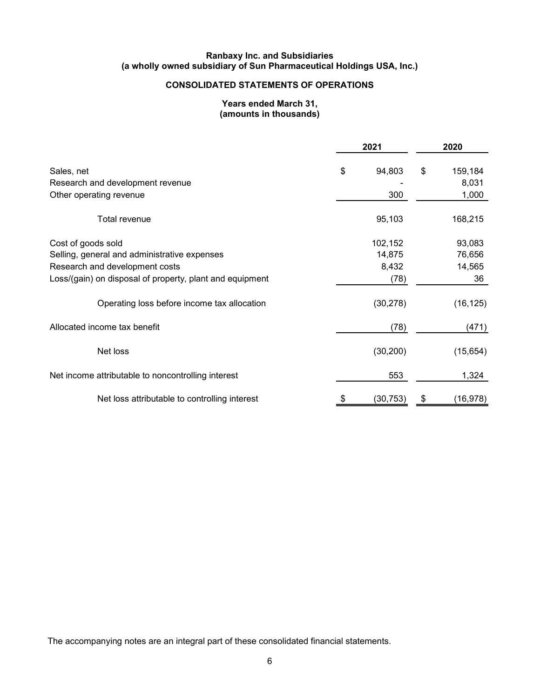# **CONSOLIDATED STATEMENTS OF OPERATIONS**

## **Years ended March 31, (amounts in thousands)**

|                                                          |    | 2021      | 2020 |           |  |
|----------------------------------------------------------|----|-----------|------|-----------|--|
| Sales, net                                               | \$ | 94,803    | \$   | 159,184   |  |
| Research and development revenue                         |    |           |      | 8,031     |  |
| Other operating revenue                                  |    | 300       |      | 1,000     |  |
| Total revenue                                            |    | 95,103    |      | 168,215   |  |
| Cost of goods sold                                       |    | 102,152   |      | 93,083    |  |
| Selling, general and administrative expenses             |    | 14,875    |      | 76,656    |  |
| Research and development costs                           |    | 8,432     |      | 14,565    |  |
| Loss/(gain) on disposal of property, plant and equipment |    | (78)      |      | 36        |  |
| Operating loss before income tax allocation              |    | (30, 278) |      | (16, 125) |  |
| Allocated income tax benefit                             |    | (78)      |      | (471)     |  |
| Net loss                                                 |    | (30, 200) |      | (15, 654) |  |
| Net income attributable to noncontrolling interest       |    | 553       |      | 1,324     |  |
| Net loss attributable to controlling interest            |    | (30, 753) |      | (16, 978) |  |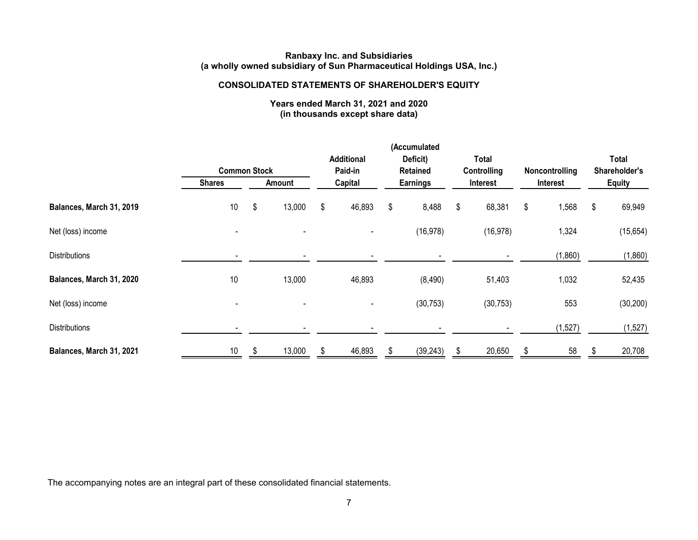# **CONSOLIDATED STATEMENTS OF SHAREHOLDER'S EQUITY**

# **Years ended March 31, 2021 and 2020 (in thousands except share data)**

|                          | <b>Common Stock</b> |    |        |     | <b>Additional</b><br>Paid-in | (Accumulated<br>Deficit)<br><b>Retained</b> |                 |    | <b>Total</b><br>Controlling |    | Noncontrolling |    | <b>Total</b><br>Shareholder's |
|--------------------------|---------------------|----|--------|-----|------------------------------|---------------------------------------------|-----------------|----|-----------------------------|----|----------------|----|-------------------------------|
|                          | <b>Shares</b>       |    | Amount |     | Capital                      |                                             | <b>Earnings</b> |    | Interest                    |    | Interest       |    | <b>Equity</b>                 |
| Balances, March 31, 2019 | 10 <sup>°</sup>     | \$ | 13,000 | \$  | 46,893                       | \$                                          | 8,488           | \$ | 68,381                      | \$ | 1,568          | \$ | 69,949                        |
| Net (loss) income        | $\blacksquare$      |    |        |     | $\blacksquare$               |                                             | (16, 978)       |    | (16, 978)                   |    | 1,324          |    | (15, 654)                     |
| <b>Distributions</b>     |                     |    |        |     |                              |                                             |                 |    |                             |    | (1,860)        |    | (1,860)                       |
| Balances, March 31, 2020 | $10$                |    | 13,000 |     | 46,893                       |                                             | (8, 490)        |    | 51,403                      |    | 1,032          |    | 52,435                        |
| Net (loss) income        |                     |    |        |     |                              |                                             | (30, 753)       |    | (30, 753)                   |    | 553            |    | (30, 200)                     |
| <b>Distributions</b>     |                     |    |        |     |                              |                                             |                 |    |                             |    | (1,527)        |    | (1,527)                       |
| Balances, March 31, 2021 | 10                  |    | 13,000 | \$. | 46,893                       |                                             | (39, 243)       |    | 20,650                      | \$ | 58             |    | 20,708                        |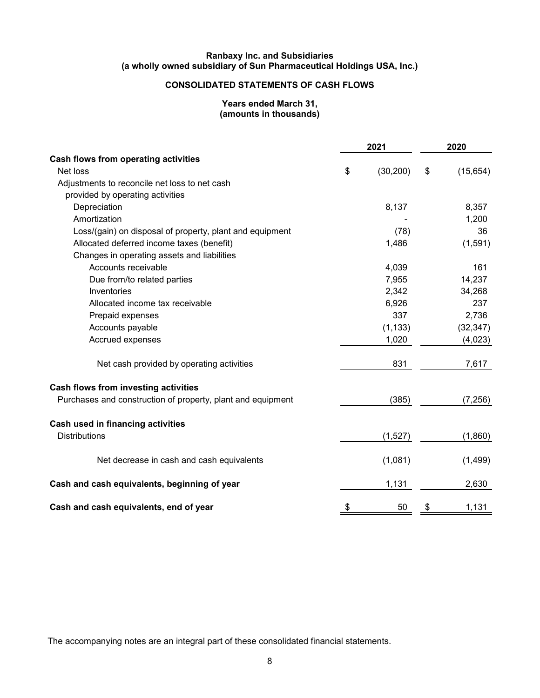# **CONSOLIDATED STATEMENTS OF CASH FLOWS**

## **Years ended March 31, (amounts in thousands)**

|                                                             |    | 2021      | 2020 |           |  |
|-------------------------------------------------------------|----|-----------|------|-----------|--|
| Cash flows from operating activities                        |    |           |      |           |  |
| Net loss                                                    | \$ | (30, 200) | \$   | (15, 654) |  |
| Adjustments to reconcile net loss to net cash               |    |           |      |           |  |
| provided by operating activities                            |    |           |      |           |  |
| Depreciation                                                |    | 8,137     |      | 8,357     |  |
| Amortization                                                |    |           |      | 1,200     |  |
| Loss/(gain) on disposal of property, plant and equipment    |    | (78)      |      | 36        |  |
| Allocated deferred income taxes (benefit)                   |    | 1,486     |      | (1, 591)  |  |
| Changes in operating assets and liabilities                 |    |           |      |           |  |
| Accounts receivable                                         |    | 4,039     |      | 161       |  |
| Due from/to related parties                                 |    | 7,955     |      | 14,237    |  |
| Inventories                                                 |    | 2,342     |      | 34,268    |  |
| Allocated income tax receivable                             |    | 6,926     |      | 237       |  |
| Prepaid expenses                                            |    | 337       |      | 2,736     |  |
| Accounts payable                                            |    | (1, 133)  |      | (32, 347) |  |
| Accrued expenses                                            |    | 1,020     |      | (4,023)   |  |
| Net cash provided by operating activities                   |    | 831       |      | 7,617     |  |
| Cash flows from investing activities                        |    |           |      |           |  |
| Purchases and construction of property, plant and equipment |    | (385)     |      | (7, 256)  |  |
| Cash used in financing activities                           |    |           |      |           |  |
| <b>Distributions</b>                                        |    | (1,527)   |      | (1,860)   |  |
| Net decrease in cash and cash equivalents                   |    | (1,081)   |      | (1,499)   |  |
| Cash and cash equivalents, beginning of year                |    | 1,131     |      | 2,630     |  |
| Cash and cash equivalents, end of year                      | \$ | 50        | \$   | 1,131     |  |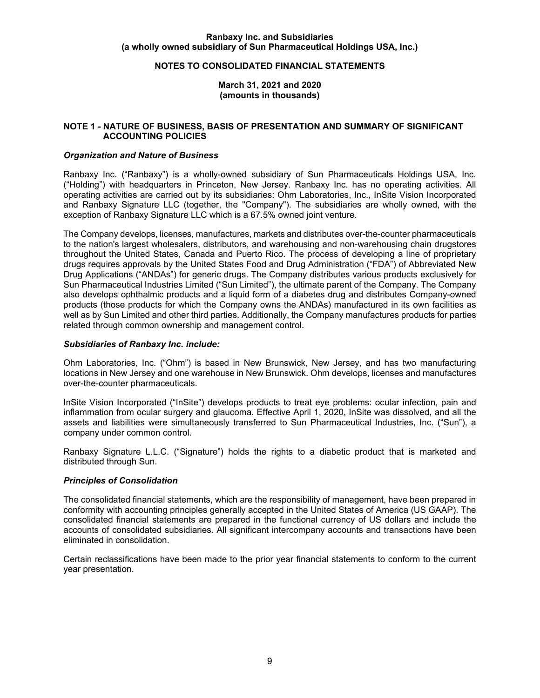## **NOTES TO CONSOLIDATED FINANCIAL STATEMENTS**

#### **March 31, 2021 and 2020 (amounts in thousands)**

## **NOTE 1 - NATURE OF BUSINESS, BASIS OF PRESENTATION AND SUMMARY OF SIGNIFICANT ACCOUNTING POLICIES**

## *Organization and Nature of Business*

Ranbaxy Inc. ("Ranbaxy") is a wholly-owned subsidiary of Sun Pharmaceuticals Holdings USA, Inc. ("Holding") with headquarters in Princeton, New Jersey. Ranbaxy Inc. has no operating activities. All operating activities are carried out by its subsidiaries: Ohm Laboratories, Inc., InSite Vision Incorporated and Ranbaxy Signature LLC (together, the "Company"). The subsidiaries are wholly owned, with the exception of Ranbaxy Signature LLC which is a 67.5% owned joint venture.

The Company develops, licenses, manufactures, markets and distributes over-the-counter pharmaceuticals to the nation's largest wholesalers, distributors, and warehousing and non-warehousing chain drugstores throughout the United States, Canada and Puerto Rico. The process of developing a line of proprietary drugs requires approvals by the United States Food and Drug Administration ("FDA") of Abbreviated New Drug Applications ("ANDAs") for generic drugs. The Company distributes various products exclusively for Sun Pharmaceutical Industries Limited ("Sun Limited"), the ultimate parent of the Company. The Company also develops ophthalmic products and a liquid form of a diabetes drug and distributes Company-owned products (those products for which the Company owns the ANDAs) manufactured in its own facilities as well as by Sun Limited and other third parties. Additionally, the Company manufactures products for parties related through common ownership and management control.

## *Subsidiaries of Ranbaxy Inc. include:*

Ohm Laboratories, Inc. ("Ohm") is based in New Brunswick, New Jersey, and has two manufacturing locations in New Jersey and one warehouse in New Brunswick. Ohm develops, licenses and manufactures over-the-counter pharmaceuticals.

InSite Vision Incorporated ("InSite") develops products to treat eye problems: ocular infection, pain and inflammation from ocular surgery and glaucoma. Effective April 1, 2020, InSite was dissolved, and all the assets and liabilities were simultaneously transferred to Sun Pharmaceutical Industries, Inc. ("Sun"), a company under common control.

Ranbaxy Signature L.L.C. ("Signature") holds the rights to a diabetic product that is marketed and distributed through Sun.

## *Principles of Consolidation*

The consolidated financial statements, which are the responsibility of management, have been prepared in conformity with accounting principles generally accepted in the United States of America (US GAAP). The consolidated financial statements are prepared in the functional currency of US dollars and include the accounts of consolidated subsidiaries. All significant intercompany accounts and transactions have been eliminated in consolidation.

Certain reclassifications have been made to the prior year financial statements to conform to the current year presentation.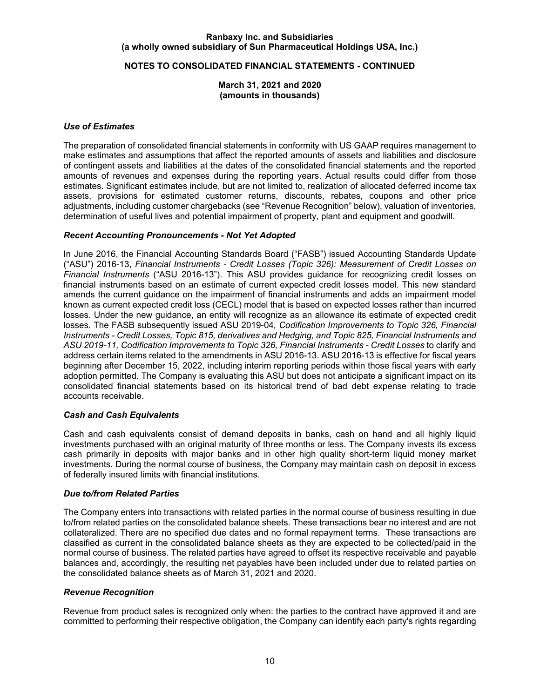## **NOTES TO CONSOLIDATED FINANCIAL STATEMENTS - CONTINUED**

**March 31, 2021 and 2020 (amounts in thousands)** 

## *Use of Estimates*

The preparation of consolidated financial statements in conformity with US GAAP requires management to make estimates and assumptions that affect the reported amounts of assets and liabilities and disclosure of contingent assets and liabilities at the dates of the consolidated financial statements and the reported amounts of revenues and expenses during the reporting years. Actual results could differ from those estimates. Significant estimates include, but are not limited to, realization of allocated deferred income tax assets, provisions for estimated customer returns, discounts, rebates, coupons and other price adjustments, including customer chargebacks (see "Revenue Recognition" below), valuation of inventories, determination of useful lives and potential impairment of property, plant and equipment and goodwill.

## *Recent Accounting Pronouncements - Not Yet Adopted*

In June 2016, the Financial Accounting Standards Board ("FASB") issued Accounting Standards Update ("ASU") 2016-13, *Financial Instruments - Credit Losses (Topic 326): Measurement of Credit Losses on Financial Instruments* ("ASU 2016-13"). This ASU provides guidance for recognizing credit losses on financial instruments based on an estimate of current expected credit losses model. This new standard amends the current guidance on the impairment of financial instruments and adds an impairment model known as current expected credit loss (CECL) model that is based on expected losses rather than incurred losses. Under the new guidance, an entity will recognize as an allowance its estimate of expected credit losses. The FASB subsequently issued ASU 2019-04*, Codification Improvements to Topic 326, Financial Instruments - Credit Losses, Topic 815, derivatives and Hedging, and Topic 825, Financial Instruments and ASU 2019-11, Codification Improvements to Topic 326, Financial Instruments - Credit Losses* to clarify and address certain items related to the amendments in ASU 2016-13. ASU 2016-13 is effective for fiscal years beginning after December 15, 2022, including interim reporting periods within those fiscal years with early adoption permitted. The Company is evaluating this ASU but does not anticipate a significant impact on its consolidated financial statements based on its historical trend of bad debt expense relating to trade accounts receivable.

## *Cash and Cash Equivalents*

Cash and cash equivalents consist of demand deposits in banks, cash on hand and all highly liquid investments purchased with an original maturity of three months or less. The Company invests its excess cash primarily in deposits with major banks and in other high quality short-term liquid money market investments. During the normal course of business, the Company may maintain cash on deposit in excess of federally insured limits with financial institutions.

#### *Due to/from Related Parties*

The Company enters into transactions with related parties in the normal course of business resulting in due to/from related parties on the consolidated balance sheets. These transactions bear no interest and are not collateralized. There are no specified due dates and no formal repayment terms. These transactions are classified as current in the consolidated balance sheets as they are expected to be collected/paid in the normal course of business. The related parties have agreed to offset its respective receivable and payable balances and, accordingly, the resulting net payables have been included under due to related parties on the consolidated balance sheets as of March 31, 2021 and 2020.

#### *Revenue Recognition*

Revenue from product sales is recognized only when: the parties to the contract have approved it and are committed to performing their respective obligation, the Company can identify each party's rights regarding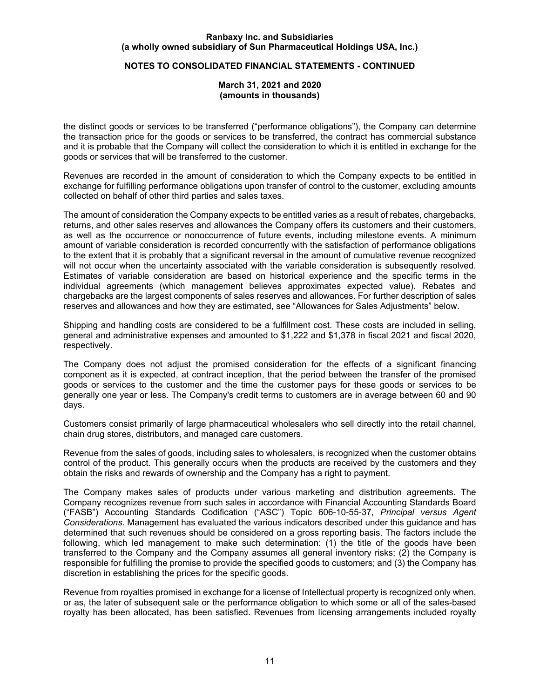## **NOTES TO CONSOLIDATED FINANCIAL STATEMENTS - CONTINUED**

## **March 31, 2021 and 2020 (amounts in thousands)**

the distinct goods or services to be transferred ("performance obligations"), the Company can determine the transaction price for the goods or services to be transferred, the contract has commercial substance and it is probable that the Company will collect the consideration to which it is entitled in exchange for the goods or services that will be transferred to the customer.

Revenues are recorded in the amount of consideration to which the Company expects to be entitled in exchange for fulfilling performance obligations upon transfer of control to the customer, excluding amounts collected on behalf of other third parties and sales taxes.

The amount of consideration the Company expects to be entitled varies as a result of rebates, chargebacks, returns, and other sales reserves and allowances the Company offers its customers and their customers, as well as the occurrence or nonoccurrence of future events, including milestone events. A minimum amount of variable consideration is recorded concurrently with the satisfaction of performance obligations to the extent that it is probably that a significant reversal in the amount of cumulative revenue recognized will not occur when the uncertainty associated with the variable consideration is subsequently resolved. Estimates of variable consideration are based on historical experience and the specific terms in the individual agreements (which management believes approximates expected value). Rebates and chargebacks are the largest components of sales reserves and allowances. For further description of sales reserves and allowances and how they are estimated, see "Allowances for Sales Adjustments" below.

Shipping and handling costs are considered to be a fulfillment cost. These costs are included in selling, general and administrative expenses and amounted to \$1,222 and \$1,378 in fiscal 2021 and fiscal 2020, respectively.

The Company does not adjust the promised consideration for the effects of a significant financing component as it is expected, at contract inception, that the period between the transfer of the promised goods or services to the customer and the time the customer pays for these goods or services to be generally one year or less. The Company's credit terms to customers are in average between 60 and 90 days.

Customers consist primarily of large pharmaceutical wholesalers who sell directly into the retail channel, chain drug stores, distributors, and managed care customers.

Revenue from the sales of goods, including sales to wholesalers, is recognized when the customer obtains control of the product. This generally occurs when the products are received by the customers and they obtain the risks and rewards of ownership and the Company has a right to payment.

The Company makes sales of products under various marketing and distribution agreements. The Company recognizes revenue from such sales in accordance with Financial Accounting Standards Board ("FASB") Accounting Standards Codification ("ASC") Topic 606-10-55-37, *Principal versus Agent Considerations*. Management has evaluated the various indicators described under this guidance and has determined that such revenues should be considered on a gross reporting basis. The factors include the following, which led management to make such determination: (1) the title of the goods have been transferred to the Company and the Company assumes all general inventory risks; (2) the Company is responsible for fulfilling the promise to provide the specified goods to customers; and (3) the Company has discretion in establishing the prices for the specific goods.

Revenue from royalties promised in exchange for a license of Intellectual property is recognized only when, or as, the later of subsequent sale or the performance obligation to which some or all of the sales-based royalty has been allocated, has been satisfied. Revenues from licensing arrangements included royalty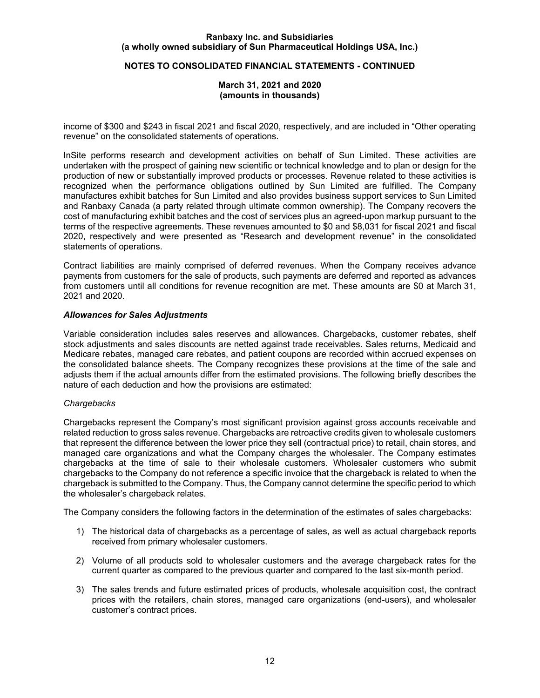## **NOTES TO CONSOLIDATED FINANCIAL STATEMENTS - CONTINUED**

## **March 31, 2021 and 2020 (amounts in thousands)**

income of \$300 and \$243 in fiscal 2021 and fiscal 2020, respectively, and are included in "Other operating revenue" on the consolidated statements of operations.

InSite performs research and development activities on behalf of Sun Limited. These activities are undertaken with the prospect of gaining new scientific or technical knowledge and to plan or design for the production of new or substantially improved products or processes. Revenue related to these activities is recognized when the performance obligations outlined by Sun Limited are fulfilled. The Company manufactures exhibit batches for Sun Limited and also provides business support services to Sun Limited and Ranbaxy Canada (a party related through ultimate common ownership). The Company recovers the cost of manufacturing exhibit batches and the cost of services plus an agreed-upon markup pursuant to the terms of the respective agreements. These revenues amounted to \$0 and \$8,031 for fiscal 2021 and fiscal 2020, respectively and were presented as "Research and development revenue" in the consolidated statements of operations.

Contract liabilities are mainly comprised of deferred revenues. When the Company receives advance payments from customers for the sale of products, such payments are deferred and reported as advances from customers until all conditions for revenue recognition are met. These amounts are \$0 at March 31, 2021 and 2020.

## *Allowances for Sales Adjustments*

Variable consideration includes sales reserves and allowances. Chargebacks, customer rebates, shelf stock adjustments and sales discounts are netted against trade receivables. Sales returns, Medicaid and Medicare rebates, managed care rebates, and patient coupons are recorded within accrued expenses on the consolidated balance sheets. The Company recognizes these provisions at the time of the sale and adiusts them if the actual amounts differ from the estimated provisions. The following briefly describes the nature of each deduction and how the provisions are estimated:

## *Chargebacks*

Chargebacks represent the Company's most significant provision against gross accounts receivable and related reduction to gross sales revenue. Chargebacks are retroactive credits given to wholesale customers that represent the difference between the lower price they sell (contractual price) to retail, chain stores, and managed care organizations and what the Company charges the wholesaler. The Company estimates chargebacks at the time of sale to their wholesale customers. Wholesaler customers who submit chargebacks to the Company do not reference a specific invoice that the chargeback is related to when the chargeback is submitted to the Company. Thus, the Company cannot determine the specific period to which the wholesaler's chargeback relates.

The Company considers the following factors in the determination of the estimates of sales chargebacks:

- 1) The historical data of chargebacks as a percentage of sales, as well as actual chargeback reports received from primary wholesaler customers.
- 2) Volume of all products sold to wholesaler customers and the average chargeback rates for the current quarter as compared to the previous quarter and compared to the last six-month period.
- 3) The sales trends and future estimated prices of products, wholesale acquisition cost, the contract prices with the retailers, chain stores, managed care organizations (end-users), and wholesaler customer's contract prices.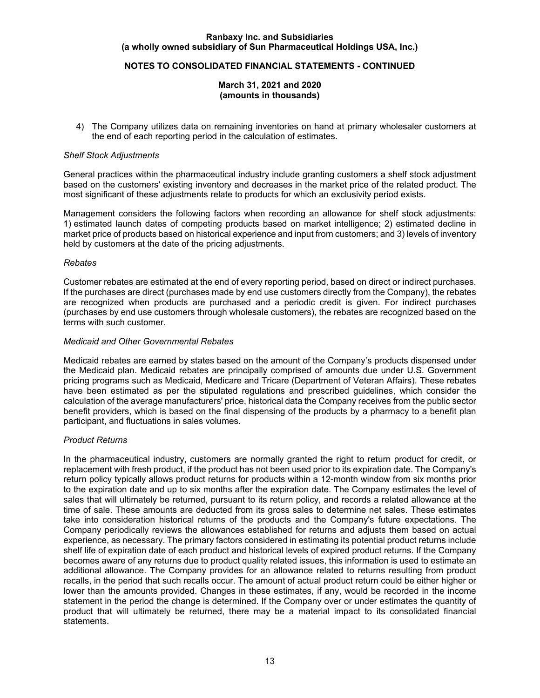## **NOTES TO CONSOLIDATED FINANCIAL STATEMENTS - CONTINUED**

## **March 31, 2021 and 2020 (amounts in thousands)**

4) The Company utilizes data on remaining inventories on hand at primary wholesaler customers at the end of each reporting period in the calculation of estimates.

#### *Shelf Stock Adjustments*

General practices within the pharmaceutical industry include granting customers a shelf stock adjustment based on the customers' existing inventory and decreases in the market price of the related product. The most significant of these adjustments relate to products for which an exclusivity period exists.

Management considers the following factors when recording an allowance for shelf stock adjustments: 1) estimated launch dates of competing products based on market intelligence; 2) estimated decline in market price of products based on historical experience and input from customers; and 3) levels of inventory held by customers at the date of the pricing adjustments.

#### *Rebates*

Customer rebates are estimated at the end of every reporting period, based on direct or indirect purchases. If the purchases are direct (purchases made by end use customers directly from the Company), the rebates are recognized when products are purchased and a periodic credit is given. For indirect purchases (purchases by end use customers through wholesale customers), the rebates are recognized based on the terms with such customer.

## *Medicaid and Other Governmental Rebates*

Medicaid rebates are earned by states based on the amount of the Company's products dispensed under the Medicaid plan. Medicaid rebates are principally comprised of amounts due under U.S. Government pricing programs such as Medicaid, Medicare and Tricare (Department of Veteran Affairs). These rebates have been estimated as per the stipulated regulations and prescribed guidelines, which consider the calculation of the average manufacturers' price, historical data the Company receives from the public sector benefit providers, which is based on the final dispensing of the products by a pharmacy to a benefit plan participant, and fluctuations in sales volumes.

## *Product Returns*

In the pharmaceutical industry, customers are normally granted the right to return product for credit, or replacement with fresh product, if the product has not been used prior to its expiration date. The Company's return policy typically allows product returns for products within a 12-month window from six months prior to the expiration date and up to six months after the expiration date. The Company estimates the level of sales that will ultimately be returned, pursuant to its return policy, and records a related allowance at the time of sale. These amounts are deducted from its gross sales to determine net sales. These estimates take into consideration historical returns of the products and the Company's future expectations. The Company periodically reviews the allowances established for returns and adjusts them based on actual experience, as necessary. The primary factors considered in estimating its potential product returns include shelf life of expiration date of each product and historical levels of expired product returns. If the Company becomes aware of any returns due to product quality related issues, this information is used to estimate an additional allowance. The Company provides for an allowance related to returns resulting from product recalls, in the period that such recalls occur. The amount of actual product return could be either higher or lower than the amounts provided. Changes in these estimates, if any, would be recorded in the income statement in the period the change is determined. If the Company over or under estimates the quantity of product that will ultimately be returned, there may be a material impact to its consolidated financial statements.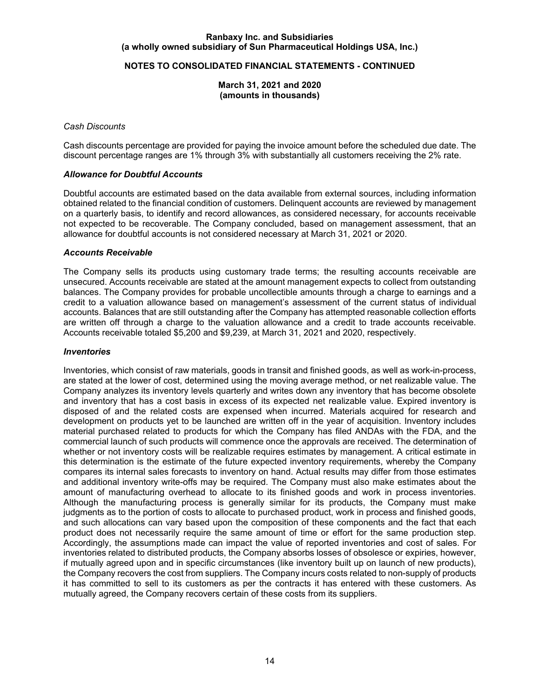## **NOTES TO CONSOLIDATED FINANCIAL STATEMENTS - CONTINUED**

## **March 31, 2021 and 2020 (amounts in thousands)**

## *Cash Discounts*

Cash discounts percentage are provided for paying the invoice amount before the scheduled due date. The discount percentage ranges are 1% through 3% with substantially all customers receiving the 2% rate.

#### *Allowance for Doubtful Accounts*

Doubtful accounts are estimated based on the data available from external sources, including information obtained related to the financial condition of customers. Delinquent accounts are reviewed by management on a quarterly basis, to identify and record allowances, as considered necessary, for accounts receivable not expected to be recoverable. The Company concluded, based on management assessment, that an allowance for doubtful accounts is not considered necessary at March 31, 2021 or 2020.

#### *Accounts Receivable*

The Company sells its products using customary trade terms; the resulting accounts receivable are unsecured. Accounts receivable are stated at the amount management expects to collect from outstanding balances. The Company provides for probable uncollectible amounts through a charge to earnings and a credit to a valuation allowance based on management's assessment of the current status of individual accounts. Balances that are still outstanding after the Company has attempted reasonable collection efforts are written off through a charge to the valuation allowance and a credit to trade accounts receivable. Accounts receivable totaled \$5,200 and \$9,239, at March 31, 2021 and 2020, respectively.

#### *Inventories*

Inventories, which consist of raw materials, goods in transit and finished goods, as well as work-in-process, are stated at the lower of cost, determined using the moving average method, or net realizable value. The Company analyzes its inventory levels quarterly and writes down any inventory that has become obsolete and inventory that has a cost basis in excess of its expected net realizable value. Expired inventory is disposed of and the related costs are expensed when incurred. Materials acquired for research and development on products yet to be launched are written off in the year of acquisition. Inventory includes material purchased related to products for which the Company has filed ANDAs with the FDA, and the commercial launch of such products will commence once the approvals are received. The determination of whether or not inventory costs will be realizable requires estimates by management. A critical estimate in this determination is the estimate of the future expected inventory requirements, whereby the Company compares its internal sales forecasts to inventory on hand. Actual results may differ from those estimates and additional inventory write-offs may be required. The Company must also make estimates about the amount of manufacturing overhead to allocate to its finished goods and work in process inventories. Although the manufacturing process is generally similar for its products, the Company must make judgments as to the portion of costs to allocate to purchased product, work in process and finished goods, and such allocations can vary based upon the composition of these components and the fact that each product does not necessarily require the same amount of time or effort for the same production step. Accordingly, the assumptions made can impact the value of reported inventories and cost of sales. For inventories related to distributed products, the Company absorbs losses of obsolesce or expiries, however, if mutually agreed upon and in specific circumstances (like inventory built up on launch of new products), the Company recovers the cost from suppliers. The Company incurs costs related to non-supply of products it has committed to sell to its customers as per the contracts it has entered with these customers. As mutually agreed, the Company recovers certain of these costs from its suppliers.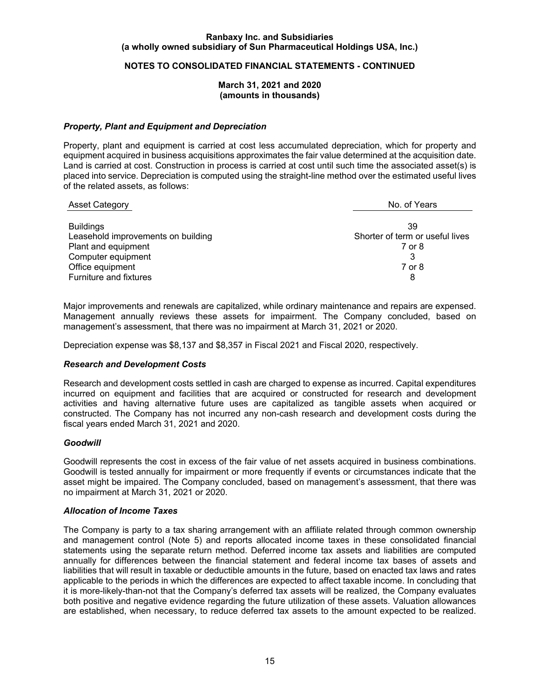## **NOTES TO CONSOLIDATED FINANCIAL STATEMENTS - CONTINUED**

## **March 31, 2021 and 2020 (amounts in thousands)**

## *Property, Plant and Equipment and Depreciation*

Property, plant and equipment is carried at cost less accumulated depreciation, which for property and equipment acquired in business acquisitions approximates the fair value determined at the acquisition date. Land is carried at cost. Construction in process is carried at cost until such time the associated asset(s) is placed into service. Depreciation is computed using the straight-line method over the estimated useful lives of the related assets, as follows:

| <b>Asset Category</b>              | No. of Years                    |  |  |  |  |
|------------------------------------|---------------------------------|--|--|--|--|
| <b>Buildings</b>                   | 39                              |  |  |  |  |
| Leasehold improvements on building | Shorter of term or useful lives |  |  |  |  |
| Plant and equipment                | 7 or 8                          |  |  |  |  |
| Computer equipment                 |                                 |  |  |  |  |
| Office equipment                   | 7 or 8                          |  |  |  |  |
| Furniture and fixtures             | 8                               |  |  |  |  |

Major improvements and renewals are capitalized, while ordinary maintenance and repairs are expensed. Management annually reviews these assets for impairment. The Company concluded, based on management's assessment, that there was no impairment at March 31, 2021 or 2020.

Depreciation expense was \$8,137 and \$8,357 in Fiscal 2021 and Fiscal 2020, respectively.

## *Research and Development Costs*

Research and development costs settled in cash are charged to expense as incurred. Capital expenditures incurred on equipment and facilities that are acquired or constructed for research and development activities and having alternative future uses are capitalized as tangible assets when acquired or constructed. The Company has not incurred any non-cash research and development costs during the fiscal years ended March 31, 2021 and 2020.

## *Goodwill*

Goodwill represents the cost in excess of the fair value of net assets acquired in business combinations. Goodwill is tested annually for impairment or more frequently if events or circumstances indicate that the asset might be impaired. The Company concluded, based on management's assessment, that there was no impairment at March 31, 2021 or 2020.

## *Allocation of Income Taxes*

The Company is party to a tax sharing arrangement with an affiliate related through common ownership and management control (Note 5) and reports allocated income taxes in these consolidated financial statements using the separate return method. Deferred income tax assets and liabilities are computed annually for differences between the financial statement and federal income tax bases of assets and liabilities that will result in taxable or deductible amounts in the future, based on enacted tax laws and rates applicable to the periods in which the differences are expected to affect taxable income. In concluding that it is more-likely-than-not that the Company's deferred tax assets will be realized, the Company evaluates both positive and negative evidence regarding the future utilization of these assets. Valuation allowances are established, when necessary, to reduce deferred tax assets to the amount expected to be realized.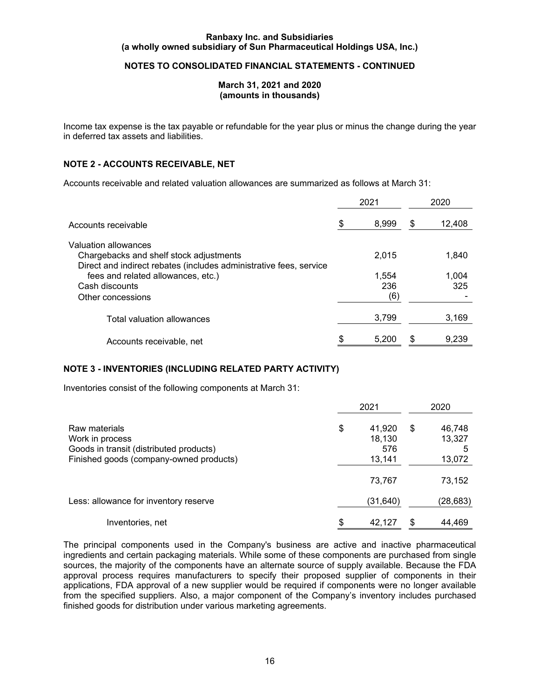## **NOTES TO CONSOLIDATED FINANCIAL STATEMENTS - CONTINUED**

## **March 31, 2021 and 2020 (amounts in thousands)**

Income tax expense is the tax payable or refundable for the year plus or minus the change during the year in deferred tax assets and liabilities.

## **NOTE 2 - ACCOUNTS RECEIVABLE, NET**

Accounts receivable and related valuation allowances are summarized as follows at March 31:

|                                                                    |    | 2021  | 2020 |        |  |
|--------------------------------------------------------------------|----|-------|------|--------|--|
| Accounts receivable                                                | \$ | 8,999 | \$   | 12,408 |  |
| Valuation allowances                                               |    |       |      |        |  |
| Chargebacks and shelf stock adjustments                            |    | 2,015 |      | 1,840  |  |
| Direct and indirect rebates (includes administrative fees, service |    |       |      |        |  |
| fees and related allowances, etc.)                                 |    | 1,554 |      | 1,004  |  |
| Cash discounts                                                     |    | 236   |      | 325    |  |
| Other concessions                                                  |    | (6)   |      |        |  |
| Total valuation allowances                                         |    | 3,799 |      | 3,169  |  |
| Accounts receivable, net                                           |    | 5,200 |      | 9,239  |  |

# **NOTE 3 - INVENTORIES (INCLUDING RELATED PARTY ACTIVITY)**

Inventories consist of the following components at March 31:

|                                         |    | 2020      |   |          |
|-----------------------------------------|----|-----------|---|----------|
| Raw materials                           | \$ | 41,920    | S | 46,748   |
| Work in process                         |    | 18,130    |   | 13,327   |
| Goods in transit (distributed products) |    | 576       |   | 5        |
| Finished goods (company-owned products) |    | 13,141    |   | 13,072   |
|                                         |    | 73,767    |   | 73,152   |
| Less: allowance for inventory reserve   |    | (31, 640) |   | (28,683) |
| Inventories, net                        | \$ | 42.127    | S | 44.469   |

The principal components used in the Company's business are active and inactive pharmaceutical ingredients and certain packaging materials. While some of these components are purchased from single sources, the majority of the components have an alternate source of supply available. Because the FDA approval process requires manufacturers to specify their proposed supplier of components in their applications, FDA approval of a new supplier would be required if components were no longer available from the specified suppliers. Also, a major component of the Company's inventory includes purchased finished goods for distribution under various marketing agreements.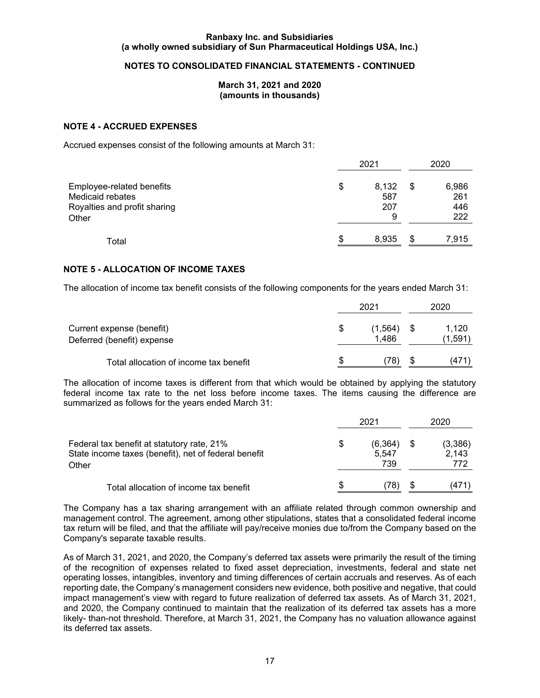## **NOTES TO CONSOLIDATED FINANCIAL STATEMENTS - CONTINUED**

## **March 31, 2021 and 2020 (amounts in thousands)**

## **NOTE 4 - ACCRUED EXPENSES**

Accrued expenses consist of the following amounts at March 31:

|                                                                                        | 2021 | 2020                     |    |                            |
|----------------------------------------------------------------------------------------|------|--------------------------|----|----------------------------|
| Employee-related benefits<br>Medicaid rebates<br>Royalties and profit sharing<br>Other | \$   | 8,132<br>587<br>207<br>9 | \$ | 6,986<br>261<br>446<br>222 |
| Total                                                                                  | \$   | 8,935                    | \$ | 7,915                      |

## **NOTE 5 - ALLOCATION OF INCOME TAXES**

The allocation of income tax benefit consists of the following components for the years ended March 31:

|                                                         |  | 2020              |      |                  |
|---------------------------------------------------------|--|-------------------|------|------------------|
| Current expense (benefit)<br>Deferred (benefit) expense |  | (1, 564)<br>1.486 | - \$ | 1.120<br>(1,591) |
| Total allocation of income tax benefit                  |  | 78)               |      | (471)            |

The allocation of income taxes is different from that which would be obtained by applying the statutory federal income tax rate to the net loss before income taxes. The items causing the difference are summarized as follows for the years ended March 31:

|                                                                                                             | 2021 |                          |  | 2020                    |  |  |
|-------------------------------------------------------------------------------------------------------------|------|--------------------------|--|-------------------------|--|--|
| Federal tax benefit at statutory rate, 21%<br>State income taxes (benefit), net of federal benefit<br>Other | \$   | (6, 364)<br>5.547<br>739 |  | (3,386)<br>2,143<br>772 |  |  |
| Total allocation of income tax benefit                                                                      | \$.  | 78)                      |  | (471)                   |  |  |

The Company has a tax sharing arrangement with an affiliate related through common ownership and management control. The agreement, among other stipulations, states that a consolidated federal income tax return will be filed, and that the affiliate will pay/receive monies due to/from the Company based on the Company's separate taxable results.

As of March 31, 2021, and 2020, the Company's deferred tax assets were primarily the result of the timing of the recognition of expenses related to fixed asset depreciation, investments, federal and state net operating losses, intangibles, inventory and timing differences of certain accruals and reserves. As of each reporting date, the Company's management considers new evidence, both positive and negative, that could impact management's view with regard to future realization of deferred tax assets. As of March 31, 2021, and 2020, the Company continued to maintain that the realization of its deferred tax assets has a more likely- than-not threshold. Therefore, at March 31, 2021, the Company has no valuation allowance against its deferred tax assets.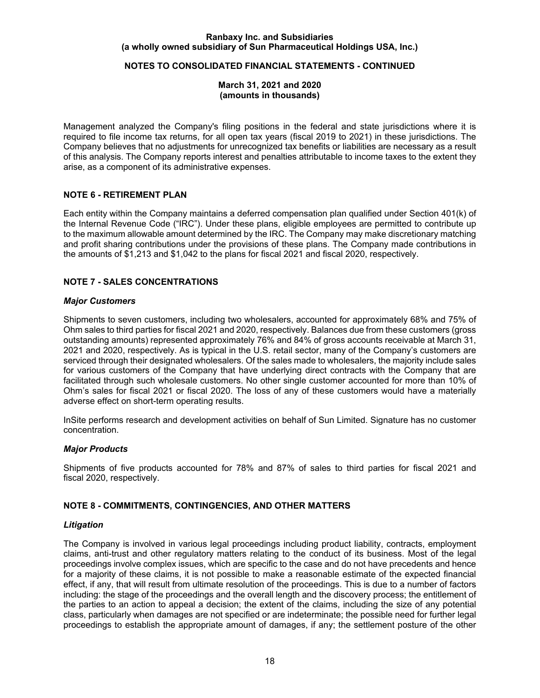## **NOTES TO CONSOLIDATED FINANCIAL STATEMENTS - CONTINUED**

## **March 31, 2021 and 2020 (amounts in thousands)**

Management analyzed the Company's filing positions in the federal and state jurisdictions where it is required to file income tax returns, for all open tax years (fiscal 2019 to 2021) in these jurisdictions. The Company believes that no adjustments for unrecognized tax benefits or liabilities are necessary as a result of this analysis. The Company reports interest and penalties attributable to income taxes to the extent they arise, as a component of its administrative expenses.

## **NOTE 6 - RETIREMENT PLAN**

Each entity within the Company maintains a deferred compensation plan qualified under Section 401(k) of the Internal Revenue Code ("IRC"). Under these plans, eligible employees are permitted to contribute up to the maximum allowable amount determined by the IRC. The Company may make discretionary matching and profit sharing contributions under the provisions of these plans. The Company made contributions in the amounts of \$1,213 and \$1,042 to the plans for fiscal 2021 and fiscal 2020, respectively.

# **NOTE 7 - SALES CONCENTRATIONS**

## *Major Customers*

Shipments to seven customers, including two wholesalers, accounted for approximately 68% and 75% of Ohm sales to third parties for fiscal 2021 and 2020, respectively. Balances due from these customers (gross outstanding amounts) represented approximately 76% and 84% of gross accounts receivable at March 31, 2021 and 2020, respectively. As is typical in the U.S. retail sector, many of the Company's customers are serviced through their designated wholesalers. Of the sales made to wholesalers, the majority include sales for various customers of the Company that have underlying direct contracts with the Company that are facilitated through such wholesale customers. No other single customer accounted for more than 10% of Ohm's sales for fiscal 2021 or fiscal 2020. The loss of any of these customers would have a materially adverse effect on short-term operating results.

InSite performs research and development activities on behalf of Sun Limited. Signature has no customer concentration.

## *Major Products*

Shipments of five products accounted for 78% and 87% of sales to third parties for fiscal 2021 and fiscal 2020, respectively.

## **NOTE 8 - COMMITMENTS, CONTINGENCIES, AND OTHER MATTERS**

## *Litigation*

The Company is involved in various legal proceedings including product liability, contracts, employment claims, anti-trust and other regulatory matters relating to the conduct of its business. Most of the legal proceedings involve complex issues, which are specific to the case and do not have precedents and hence for a majority of these claims, it is not possible to make a reasonable estimate of the expected financial effect, if any, that will result from ultimate resolution of the proceedings. This is due to a number of factors including: the stage of the proceedings and the overall length and the discovery process; the entitlement of the parties to an action to appeal a decision; the extent of the claims, including the size of any potential class, particularly when damages are not specified or are indeterminate; the possible need for further legal proceedings to establish the appropriate amount of damages, if any; the settlement posture of the other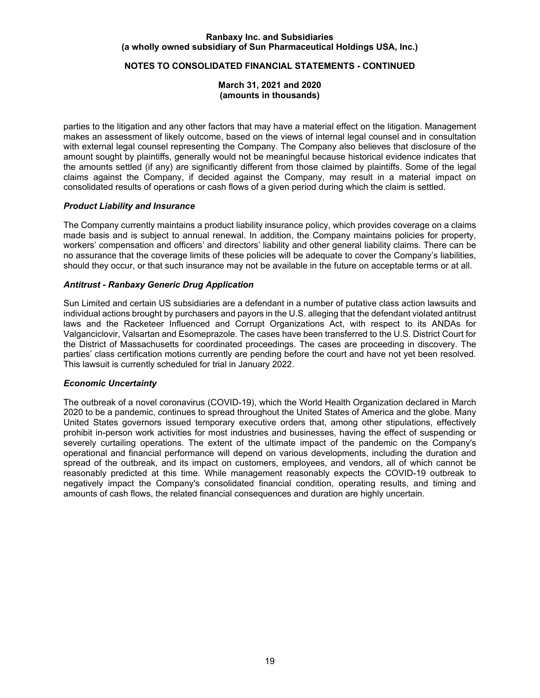## **NOTES TO CONSOLIDATED FINANCIAL STATEMENTS - CONTINUED**

## **March 31, 2021 and 2020 (amounts in thousands)**

parties to the litigation and any other factors that may have a material effect on the litigation. Management makes an assessment of likely outcome, based on the views of internal legal counsel and in consultation with external legal counsel representing the Company. The Company also believes that disclosure of the amount sought by plaintiffs, generally would not be meaningful because historical evidence indicates that the amounts settled (if any) are significantly different from those claimed by plaintiffs. Some of the legal claims against the Company, if decided against the Company, may result in a material impact on consolidated results of operations or cash flows of a given period during which the claim is settled.

## *Product Liability and Insurance*

The Company currently maintains a product liability insurance policy, which provides coverage on a claims made basis and is subject to annual renewal. In addition, the Company maintains policies for property, workers' compensation and officers' and directors' liability and other general liability claims. There can be no assurance that the coverage limits of these policies will be adequate to cover the Company's liabilities, should they occur, or that such insurance may not be available in the future on acceptable terms or at all.

#### *Antitrust - Ranbaxy Generic Drug Application*

Sun Limited and certain US subsidiaries are a defendant in a number of putative class action lawsuits and individual actions brought by purchasers and payors in the U.S. alleging that the defendant violated antitrust laws and the Racketeer Influenced and Corrupt Organizations Act, with respect to its ANDAs for Valganciclovir, Valsartan and Esomeprazole. The cases have been transferred to the U.S. District Court for the District of Massachusetts for coordinated proceedings. The cases are proceeding in discovery. The parties' class certification motions currently are pending before the court and have not yet been resolved. This lawsuit is currently scheduled for trial in January 2022.

## *Economic Uncertainty*

The outbreak of a novel coronavirus (COVID-19), which the World Health Organization declared in March 2020 to be a pandemic, continues to spread throughout the United States of America and the globe. Many United States governors issued temporary executive orders that, among other stipulations, effectively prohibit in-person work activities for most industries and businesses, having the effect of suspending or severely curtailing operations. The extent of the ultimate impact of the pandemic on the Company's operational and financial performance will depend on various developments, including the duration and spread of the outbreak, and its impact on customers, employees, and vendors, all of which cannot be reasonably predicted at this time. While management reasonably expects the COVID-19 outbreak to negatively impact the Company's consolidated financial condition, operating results, and timing and amounts of cash flows, the related financial consequences and duration are highly uncertain.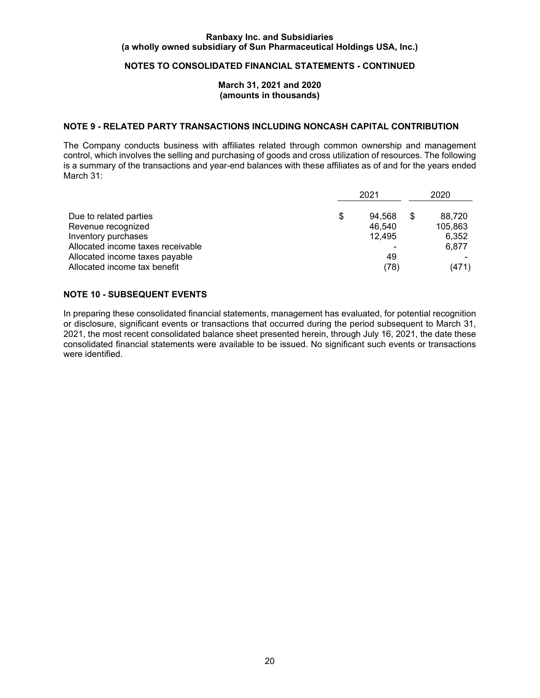## **NOTES TO CONSOLIDATED FINANCIAL STATEMENTS - CONTINUED**

## **March 31, 2021 and 2020 (amounts in thousands)**

## **NOTE 9 - RELATED PARTY TRANSACTIONS INCLUDING NONCASH CAPITAL CONTRIBUTION**

The Company conducts business with affiliates related through common ownership and management control, which involves the selling and purchasing of goods and cross utilization of resources. The following is a summary of the transactions and year-end balances with these affiliates as of and for the years ended March 31:

|                                   | 2021 |                          |   | 2020    |
|-----------------------------------|------|--------------------------|---|---------|
| Due to related parties            | \$   | 94.568                   | S | 88.720  |
| Revenue recognized                |      | 46,540                   |   | 105,863 |
| Inventory purchases               |      | 12,495                   |   | 6,352   |
| Allocated income taxes receivable |      | $\overline{\phantom{0}}$ |   | 6.877   |
| Allocated income taxes payable    |      | 49                       |   |         |
| Allocated income tax benefit      |      | (78)                     |   | (471)   |

# **NOTE 10 - SUBSEQUENT EVENTS**

In preparing these consolidated financial statements, management has evaluated, for potential recognition or disclosure, significant events or transactions that occurred during the period subsequent to March 31, 2021, the most recent consolidated balance sheet presented herein, through July 16, 2021, the date these consolidated financial statements were available to be issued. No significant such events or transactions were identified.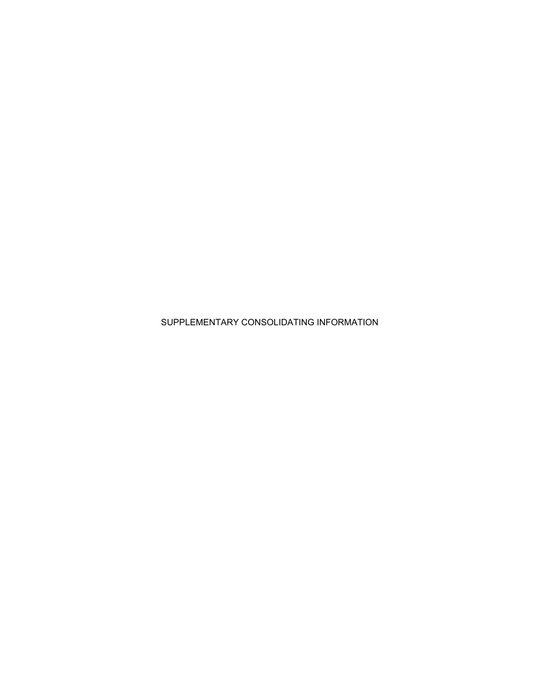SUPPLEMENTARY CONSOLIDATING INFORMATION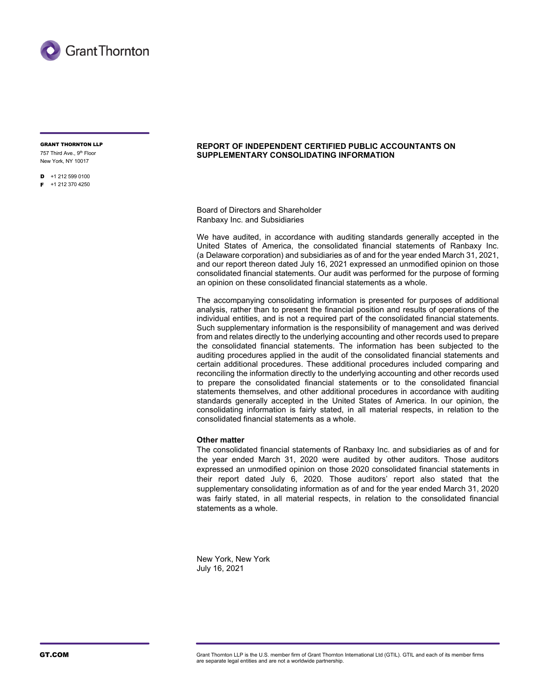

GRANT THORNTON LLP

757 Third Ave., 9<sup>th</sup> Floor New York, NY 10017

 $-12125990100$ 

 $F + 1 212 370 4250$ 

#### **REPORT OF INDEPENDENT CERTIFIED PUBLIC ACCOUNTANTS ON SUPPLEMENTARY CONSOLIDATING INFORMATION**

Board of Directors and Shareholder Ranbaxy Inc. and Subsidiaries

We have audited, in accordance with auditing standards generally accepted in the United States of America, the consolidated financial statements of Ranbaxy Inc. (a Delaware corporation) and subsidiaries as of and for the year ended March 31, 2021, and our report thereon dated July 16, 2021 expressed an unmodified opinion on those consolidated financial statements. Our audit was performed for the purpose of forming an opinion on these consolidated financial statements as a whole.

The accompanying consolidating information is presented for purposes of additional analysis, rather than to present the financial position and results of operations of the individual entities, and is not a required part of the consolidated financial statements. Such supplementary information is the responsibility of management and was derived from and relates directly to the underlying accounting and other records used to prepare the consolidated financial statements. The information has been subjected to the auditing procedures applied in the audit of the consolidated financial statements and certain additional procedures. These additional procedures included comparing and reconciling the information directly to the underlying accounting and other records used to prepare the consolidated financial statements or to the consolidated financial statements themselves, and other additional procedures in accordance with auditing standards generally accepted in the United States of America. In our opinion, the consolidating information is fairly stated, in all material respects, in relation to the consolidated financial statements as a whole.

#### **Other matter**

The consolidated financial statements of Ranbaxy Inc. and subsidiaries as of and for the year ended March 31, 2020 were audited by other auditors. Those auditors expressed an unmodified opinion on those 2020 consolidated financial statements in their report dated July 6, 2020. Those auditors' report also stated that the supplementary consolidating information as of and for the year ended March 31, 2020 was fairly stated, in all material respects, in relation to the consolidated financial statements as a whole.

New York, New York July 16, 2021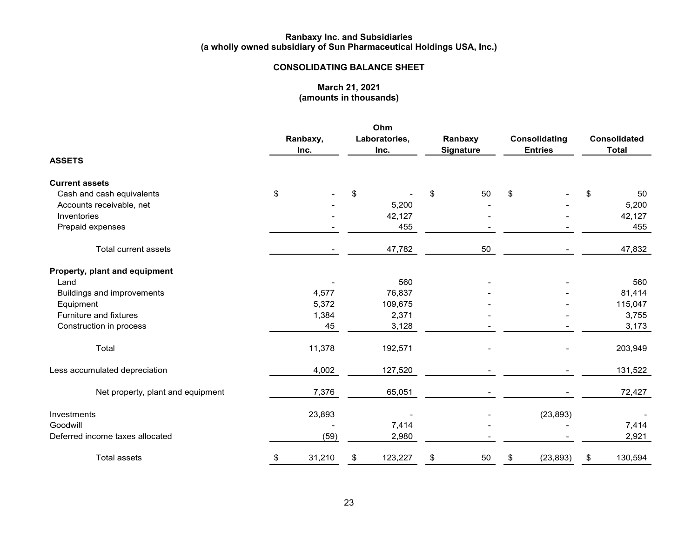#### **CONSOLIDATING BALANCE SHEET**

# **March 21, 2021 (amounts in thousands)**

|                                   |              | Ohm           |                  |                |           |                     |         |
|-----------------------------------|--------------|---------------|------------------|----------------|-----------|---------------------|---------|
|                                   | Ranbaxy,     | Laboratories, | Ranbaxy          | Consolidating  |           | <b>Consolidated</b> |         |
| <b>ASSETS</b>                     | Inc.         | Inc.          | <b>Signature</b> | <b>Entries</b> |           | <b>Total</b>        |         |
|                                   |              |               |                  |                |           |                     |         |
| <b>Current assets</b>             |              |               |                  |                |           |                     |         |
| Cash and cash equivalents         | \$           | \$            | \$<br>50         | \$             |           | \$                  | 50      |
| Accounts receivable, net          |              | 5,200         |                  |                |           |                     | 5,200   |
| Inventories                       |              | 42,127        |                  |                |           |                     | 42,127  |
| Prepaid expenses                  |              | 455           |                  |                |           |                     | 455     |
| Total current assets              |              | 47,782        | 50               |                |           |                     | 47,832  |
| Property, plant and equipment     |              |               |                  |                |           |                     |         |
| Land                              |              | 560           |                  |                |           |                     | 560     |
| <b>Buildings and improvements</b> | 4,577        | 76,837        |                  |                |           |                     | 81,414  |
| Equipment                         | 5,372        | 109,675       |                  |                |           |                     | 115,047 |
| Furniture and fixtures            | 1,384        | 2,371         |                  |                |           |                     | 3,755   |
| Construction in process           | 45           | 3,128         |                  |                |           |                     | 3,173   |
| Total                             | 11,378       | 192,571       |                  |                |           |                     | 203,949 |
| Less accumulated depreciation     | 4,002        | 127,520       |                  |                |           |                     | 131,522 |
| Net property, plant and equipment | 7,376        | 65,051        |                  |                |           |                     | 72,427  |
| Investments                       | 23,893       |               |                  |                | (23, 893) |                     |         |
| Goodwill                          |              | 7,414         |                  |                |           |                     | 7,414   |
| Deferred income taxes allocated   | (59)         | 2,980         |                  |                |           |                     | 2,921   |
| <b>Total assets</b>               | \$<br>31,210 | \$<br>123,227 | \$<br>50         | \$             | (23, 893) | \$                  | 130,594 |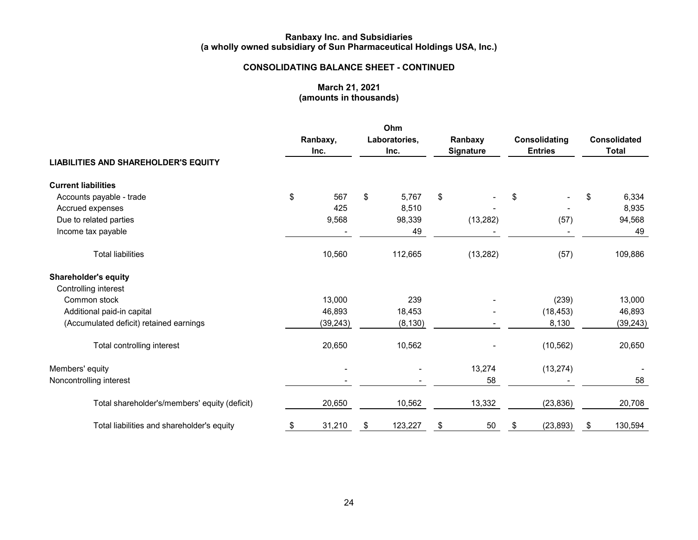## **CONSOLIDATING BALANCE SHEET - CONTINUED**

# **March 21, 2021 (amounts in thousands)**

|                                               | Ohm  |           |    |               |                  |           |                |           |                     |           |
|-----------------------------------------------|------|-----------|----|---------------|------------------|-----------|----------------|-----------|---------------------|-----------|
|                                               |      | Ranbaxy,  |    | Laboratories, | Ranbaxy          |           | Consolidating  |           | <b>Consolidated</b> |           |
|                                               | Inc. |           |    | Inc.          | <b>Signature</b> |           | <b>Entries</b> |           | <b>Total</b>        |           |
| <b>LIABILITIES AND SHAREHOLDER'S EQUITY</b>   |      |           |    |               |                  |           |                |           |                     |           |
| <b>Current liabilities</b>                    |      |           |    |               |                  |           |                |           |                     |           |
| Accounts payable - trade                      | \$   | 567       | \$ | 5,767         | \$               |           | \$             |           | \$                  | 6,334     |
| Accrued expenses                              |      | 425       |    | 8,510         |                  |           |                |           |                     | 8,935     |
| Due to related parties                        |      | 9,568     |    | 98,339        |                  | (13, 282) |                | (57)      |                     | 94,568    |
| Income tax payable                            |      |           |    | 49            |                  |           |                |           |                     | 49        |
| <b>Total liabilities</b>                      |      | 10,560    |    | 112,665       |                  | (13, 282) |                | (57)      |                     | 109,886   |
| Shareholder's equity                          |      |           |    |               |                  |           |                |           |                     |           |
| Controlling interest                          |      |           |    |               |                  |           |                |           |                     |           |
| Common stock                                  |      | 13,000    |    | 239           |                  |           |                | (239)     |                     | 13,000    |
| Additional paid-in capital                    |      | 46,893    |    | 18,453        |                  |           |                | (18, 453) |                     | 46,893    |
| (Accumulated deficit) retained earnings       |      | (39, 243) |    | (8, 130)      |                  |           |                | 8,130     |                     | (39, 243) |
| Total controlling interest                    |      | 20,650    |    | 10,562        |                  |           |                | (10, 562) |                     | 20,650    |
| Members' equity                               |      |           |    |               |                  | 13,274    |                | (13, 274) |                     |           |
| Noncontrolling interest                       |      |           |    |               |                  | 58        |                |           |                     | 58        |
| Total shareholder's/members' equity (deficit) |      | 20,650    |    | 10,562        |                  | 13,332    |                | (23, 836) |                     | 20,708    |
| Total liabilities and shareholder's equity    | \$   | 31,210    | \$ | 123,227       | \$               | 50        | \$             | (23, 893) | \$                  | 130,594   |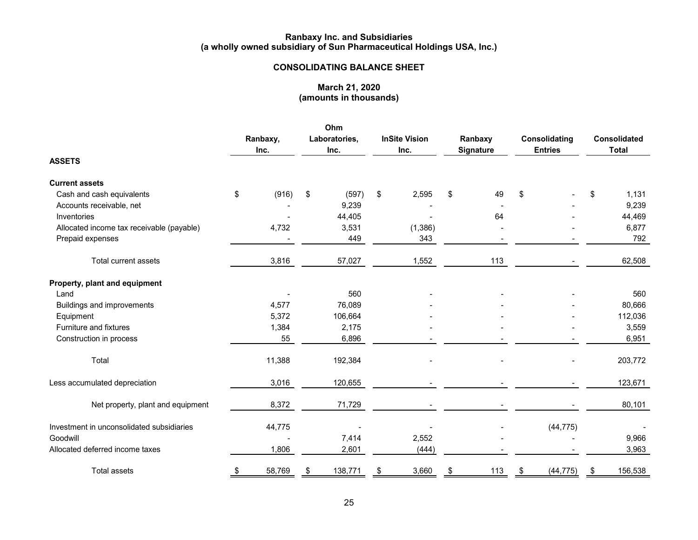#### **CONSOLIDATING BALANCE SHEET**

# **March 21, 2020 (amounts in thousands)**

|                                           |    |          |    | Ohm           |    |                      |         |           |               |                |                     |         |
|-------------------------------------------|----|----------|----|---------------|----|----------------------|---------|-----------|---------------|----------------|---------------------|---------|
|                                           |    | Ranbaxy, |    | Laboratories, |    | <b>InSite Vision</b> | Ranbaxy |           | Consolidating |                | <b>Consolidated</b> |         |
|                                           |    | Inc.     |    | Inc.          |    | Inc.                 |         | Signature |               | <b>Entries</b> | <b>Total</b>        |         |
| <b>ASSETS</b>                             |    |          |    |               |    |                      |         |           |               |                |                     |         |
| <b>Current assets</b>                     |    |          |    |               |    |                      |         |           |               |                |                     |         |
| Cash and cash equivalents                 | \$ | (916)    | \$ | (597)         | \$ | 2,595                | \$      | 49        | \$            |                | \$                  | 1,131   |
| Accounts receivable, net                  |    |          |    | 9,239         |    |                      |         |           |               |                |                     | 9,239   |
| Inventories                               |    |          |    | 44,405        |    |                      |         | 64        |               |                |                     | 44,469  |
| Allocated income tax receivable (payable) |    | 4,732    |    | 3,531         |    | (1, 386)             |         |           |               |                |                     | 6,877   |
| Prepaid expenses                          |    |          |    | 449           |    | 343                  |         |           |               |                |                     | 792     |
| Total current assets                      |    | 3,816    |    | 57,027        |    | 1,552                |         | 113       |               |                |                     | 62,508  |
| Property, plant and equipment             |    |          |    |               |    |                      |         |           |               |                |                     |         |
| Land                                      |    |          |    | 560           |    |                      |         |           |               |                |                     | 560     |
| Buildings and improvements                |    | 4,577    |    | 76,089        |    |                      |         |           |               |                |                     | 80,666  |
| Equipment                                 |    | 5,372    |    | 106,664       |    |                      |         |           |               |                |                     | 112,036 |
| Furniture and fixtures                    |    | 1,384    |    | 2,175         |    |                      |         |           |               |                |                     | 3,559   |
| Construction in process                   |    | 55       |    | 6,896         |    |                      |         |           |               |                |                     | 6,951   |
| Total                                     |    | 11,388   |    | 192,384       |    |                      |         |           |               |                |                     | 203,772 |
| Less accumulated depreciation             |    | 3,016    |    | 120,655       |    |                      |         |           |               |                |                     | 123,671 |
| Net property, plant and equipment         |    | 8,372    |    | 71,729        |    |                      |         |           |               |                |                     | 80,101  |
| Investment in unconsolidated subsidiaries |    | 44,775   |    |               |    |                      |         |           |               | (44, 775)      |                     |         |
| Goodwill                                  |    |          |    | 7,414         |    | 2,552                |         |           |               |                |                     | 9,966   |
| Allocated deferred income taxes           |    | 1,806    |    | 2,601         |    | (444)                |         |           |               |                |                     | 3,963   |
| Total assets                              | \$ | 58,769   | \$ | 138,771       | \$ | 3,660                | \$      | 113       | \$            | (44, 775)      | \$                  | 156,538 |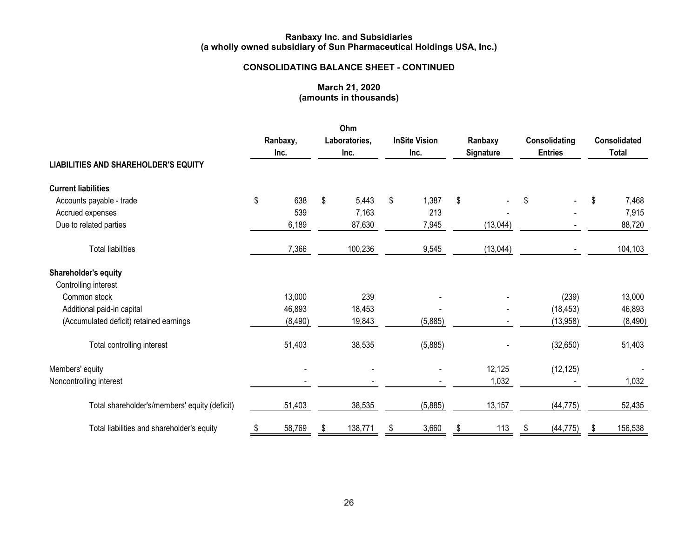## **CONSOLIDATING BALANCE SHEET - CONTINUED**

# **March 21, 2020 (amounts in thousands)**

|                                               |      |          |      | Ohm           |      |                      |                  |           |                |               |              |                     |  |
|-----------------------------------------------|------|----------|------|---------------|------|----------------------|------------------|-----------|----------------|---------------|--------------|---------------------|--|
|                                               |      | Ranbaxy, |      | Laboratories, |      | <b>InSite Vision</b> |                  | Ranbaxy   |                | Consolidating |              | <b>Consolidated</b> |  |
|                                               | Inc. |          | Inc. |               | Inc. |                      | <b>Signature</b> |           | <b>Entries</b> |               | <b>Total</b> |                     |  |
| <b>LIABILITIES AND SHAREHOLDER'S EQUITY</b>   |      |          |      |               |      |                      |                  |           |                |               |              |                     |  |
| <b>Current liabilities</b>                    |      |          |      |               |      |                      |                  |           |                |               |              |                     |  |
| Accounts payable - trade                      | \$   | 638      | \$   | 5,443         | S    | 1,387                | \$               |           | \$             |               | \$           | 7,468               |  |
| Accrued expenses                              |      | 539      |      | 7,163         |      | 213                  |                  |           |                |               |              | 7,915               |  |
| Due to related parties                        |      | 6,189    |      | 87,630        |      | 7,945                |                  | (13, 044) |                |               |              | 88,720              |  |
| <b>Total liabilities</b>                      |      | 7,366    |      | 100,236       |      | 9,545                |                  | (13, 044) |                |               |              | 104,103             |  |
| Shareholder's equity                          |      |          |      |               |      |                      |                  |           |                |               |              |                     |  |
| Controlling interest                          |      |          |      |               |      |                      |                  |           |                |               |              |                     |  |
| Common stock                                  |      | 13,000   |      | 239           |      |                      |                  |           |                | (239)         |              | 13,000              |  |
| Additional paid-in capital                    |      | 46,893   |      | 18,453        |      |                      |                  |           |                | (18, 453)     |              | 46,893              |  |
| (Accumulated deficit) retained earnings       |      | (8, 490) |      | 19,843        |      | (5,885)              |                  |           |                | (13,958)      |              | (8,490)             |  |
| Total controlling interest                    |      | 51,403   |      | 38,535        |      | (5,885)              |                  |           |                | (32,650)      |              | 51,403              |  |
| Members' equity                               |      |          |      |               |      |                      |                  | 12,125    |                | (12, 125)     |              |                     |  |
| Noncontrolling interest                       |      |          |      |               |      |                      |                  | 1,032     |                |               |              | 1,032               |  |
| Total shareholder's/members' equity (deficit) |      | 51,403   |      | 38,535        |      | (5,885)              |                  | 13,157    |                | (44, 775)     |              | 52,435              |  |
| Total liabilities and shareholder's equity    | \$   | 58,769   | \$   | 138,771       | \$   | 3,660                | \$               | 113       | - \$           | (44, 775)     | \$           | 156,538             |  |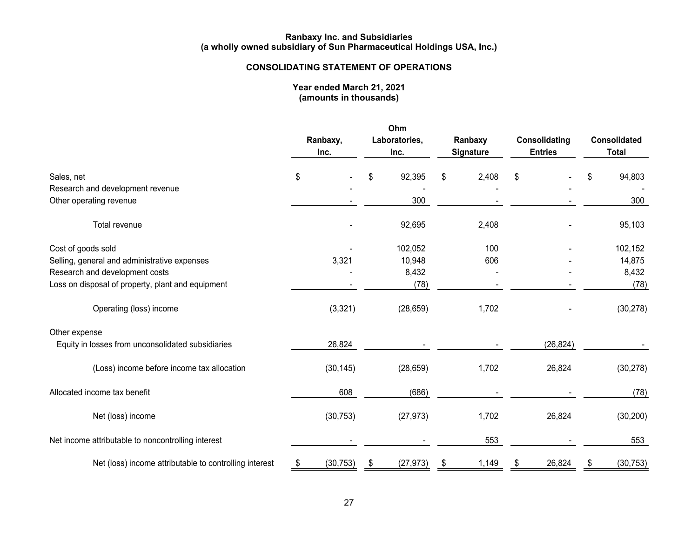#### **CONSOLIDATING STATEMENT OF OPERATIONS**

# **Year ended March 21, 2021 (amounts in thousands)**

|                                                             | Ranbaxy,<br>Inc. | Ohm<br>Laboratories,<br>Inc. | Ranbaxy<br>Signature   | Consolidating<br><b>Entries</b> | <b>Consolidated</b><br><b>Total</b> |
|-------------------------------------------------------------|------------------|------------------------------|------------------------|---------------------------------|-------------------------------------|
| Sales, net                                                  | \$               | \$<br>92,395                 | 2,408<br>\$            | \$                              | \$<br>94,803                        |
| Research and development revenue<br>Other operating revenue |                  | 300                          |                        |                                 | 300                                 |
|                                                             |                  |                              |                        |                                 |                                     |
| Total revenue                                               |                  | 92,695                       | 2,408                  |                                 | 95,103                              |
| Cost of goods sold                                          |                  | 102,052                      | 100                    |                                 | 102,152                             |
| Selling, general and administrative expenses                | 3,321            | 10,948                       | 606                    |                                 | 14,875                              |
| Research and development costs                              |                  | 8,432                        |                        |                                 | 8,432                               |
| Loss on disposal of property, plant and equipment           |                  | (78)                         |                        |                                 | (78)                                |
| Operating (loss) income                                     | (3,321)          | (28, 659)                    | 1,702                  |                                 | (30, 278)                           |
| Other expense                                               |                  |                              |                        |                                 |                                     |
| Equity in losses from unconsolidated subsidiaries           | 26,824           |                              |                        | (26, 824)                       |                                     |
| (Loss) income before income tax allocation                  | (30, 145)        | (28, 659)                    | 1,702                  | 26,824                          | (30, 278)                           |
| Allocated income tax benefit                                | 608              | (686)                        |                        |                                 | (78)                                |
| Net (loss) income                                           | (30, 753)        | (27, 973)                    | 1,702                  | 26,824                          | (30, 200)                           |
| Net income attributable to noncontrolling interest          |                  |                              | 553                    |                                 | 553                                 |
| Net (loss) income attributable to controlling interest      | (30, 753)<br>\$  | (27, 973)<br>\$              | 1,149<br>$\frac{1}{2}$ | 26,824<br>\$                    | (30, 753)<br>\$                     |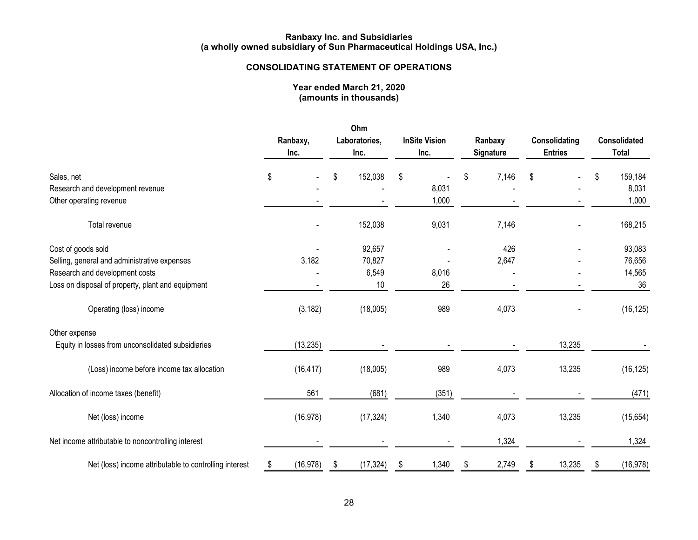## **CONSOLIDATING STATEMENT OF OPERATIONS**

# **Year ended March 21, 2020 (amounts in thousands)**

|                                                        | Ranbaxy,<br>Inc. | Ohm<br>Laboratories,<br>Inc. | <b>InSite Vision</b><br>Inc. | Ranbaxy<br>Signature | Consolidating<br><b>Entries</b> | Consolidated<br><b>Total</b> |
|--------------------------------------------------------|------------------|------------------------------|------------------------------|----------------------|---------------------------------|------------------------------|
| Sales, net                                             | \$               | 152,038<br>\$                | \$                           | \$<br>7,146          | \$                              | 159,184<br>\$                |
| Research and development revenue                       |                  |                              | 8,031                        |                      |                                 | 8,031                        |
| Other operating revenue                                |                  |                              | 1,000                        |                      |                                 | 1,000                        |
| Total revenue                                          |                  | 152,038                      | 9,031                        | 7,146                |                                 | 168,215                      |
| Cost of goods sold                                     |                  | 92,657                       |                              | 426                  |                                 | 93,083                       |
| Selling, general and administrative expenses           | 3,182            | 70,827                       |                              | 2,647                |                                 | 76,656                       |
| Research and development costs                         |                  | 6,549                        | 8,016                        |                      |                                 | 14,565                       |
| Loss on disposal of property, plant and equipment      |                  |                              | 26<br>10                     |                      |                                 | 36                           |
| Operating (loss) income                                | (3, 182)         | (18,005)                     | 989                          | 4,073                |                                 | (16, 125)                    |
| Other expense                                          |                  |                              |                              |                      |                                 |                              |
| Equity in losses from unconsolidated subsidiaries      | (13, 235)        |                              |                              |                      | 13,235                          |                              |
| (Loss) income before income tax allocation             | (16, 417)        | (18,005)                     | 989                          | 4,073                | 13,235                          | (16, 125)                    |
| Allocation of income taxes (benefit)                   | 561              | (681)                        | (351)                        |                      |                                 | (471)                        |
| Net (loss) income                                      | (16, 978)        | (17, 324)                    | 1,340                        | 4,073                | 13,235                          | (15, 654)                    |
| Net income attributable to noncontrolling interest     |                  |                              |                              | 1,324                |                                 | 1,324                        |
| Net (loss) income attributable to controlling interest | (16, 978)<br>\$  | (17, 324)                    | 1,340                        | 2,749                | 13,235                          | (16, 978)<br>\$              |